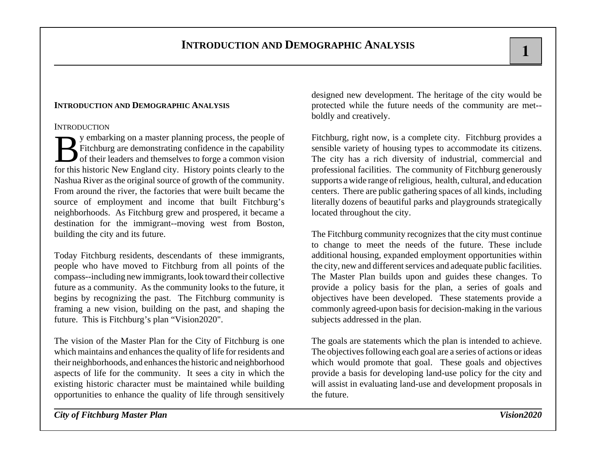### **INTRODUCTION**

By embarking on a master planning process, the people of Fitchburg are demonstrating confidence in the capability of their leaders and themselves to forge a common vision for this historic New England city. History points clearly to the Nashua River as the original source of growth of the community. From around the river, the factories that were built became the source of employment and income that built Fitchburg's neighborhoods. As Fitchburg grew and prospered, it became a destination for the immigrant--moving west from Boston, building the city and its future.

Today Fitchburg residents, descendants of these immigrants, people who have moved to Fitchburg from all points of the compass--including new immigrants, look toward their collective future as a community. As the community looks to the future, it begins by recognizing the past. The Fitchburg community is framing a new vision, building on the past, and shaping the future. This is Fitchburg's plan "Vision2020".

The vision of the Master Plan for the City of Fitchburg is one which maintains and enhances the quality of life for residents and their neighborhoods, and enhances the historic and neighborhood aspects of life for the community. It sees a city in which the existing historic character must be maintained while building opportunities to enhance the quality of life through sensitively designed new development. The heritage of the city would be protected while the future needs of the community are met- boldly and creatively.

Fitchburg, right now, is a complete city. Fitchburg provides a sensible variety of housing types to accommodate its citizens. The city has a rich diversity of industrial, commercial and professional facilities. The community of Fitchburg generously supports a wide range of religious, health, cultural, and education centers. There are public gathering spaces of all kinds, including literally dozens of beautiful parks and playgrounds strategically located throughout the city.

The Fitchburg community recognizes that the city must continue to change to meet the needs of the future. These include additional housing, expanded employment opportunities within the city, new and different services and adequate public facilities. The Master Plan builds upon and guides these changes. To provide a policy basis for the plan, a series of goals and objectives have been developed. These statements provide a commonly agreed-upon basis for decision-making in the various subjects addressed in the plan.

The goals are statements which the plan is intended to achieve. The objectives following each goal are a series of actions or ideas which would promote that goal. These goals and objectives provide a basis for developing land-use policy for the city and will assist in evaluating land-use and development proposals in the future.

*City of Fitchburg Master Plan Vision2020*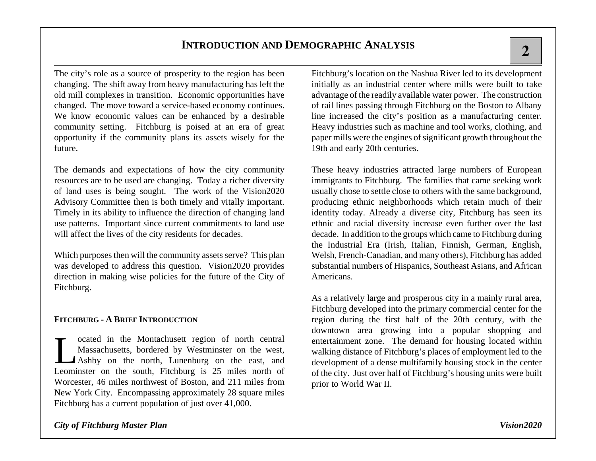The city's role as a source of prosperity to the region has been changing. The shift away from heavy manufacturing has left the old mill complexes in transition. Economic opportunities have changed. The move toward a service-based economy continues. We know economic values can be enhanced by a desirable community setting. Fitchburg is poised at an era of great opportunity if the community plans its assets wisely for the future.

The demands and expectations of how the city community resources are to be used are changing. Today a richer diversity of land uses is being sought. The work of the Vision2020 Advisory Committee then is both timely and vitally important. Timely in its ability to influence the direction of changing land use patterns. Important since current commitments to land use will affect the lives of the city residents for decades.

Which purposes then will the community assets serve? This plan was developed to address this question. Vision2020 provides direction in making wise policies for the future of the City of Fitchburg.

### **FITCHBURG - A BRIEF INTRODUCTION**

Located in the Montachusett region of north central Massachusetts, bordered by Westminster on the west, Ashby on the north, Lunenburg on the east, and Leominster on the south, Fitchburg is 25 miles north of Worcester, 46 miles northwest of Boston, and 211 miles from New York City. Encompassing approximately 28 square miles Fitchburg has a current population of just over 41,000.

Fitchburg's location on the Nashua River led to its development initially as an industrial center where mills were built to take advantage of the readily available water power. The construction of rail lines passing through Fitchburg on the Boston to Albany line increased the city's position as a manufacturing center. Heavy industries such as machine and tool works, clothing, and paper mills were the engines of significant growth throughout the 19th and early 20th centuries.

These heavy industries attracted large numbers of European immigrants to Fitchburg. The families that came seeking work usually chose to settle close to others with the same background, producing ethnic neighborhoods which retain much of their identity today. Already a diverse city, Fitchburg has seen its ethnic and racial diversity increase even further over the last decade. In addition to the groups which came to Fitchburg during the Industrial Era (Irish, Italian, Finnish, German, English, Welsh, French-Canadian, and many others), Fitchburg has added substantial numbers of Hispanics, Southeast Asians, and African Americans.

As a relatively large and prosperous city in a mainly rural area, Fitchburg developed into the primary commercial center for the region during the first half of the 20th century, with the downtown area growing into a popular shopping and entertainment zone. The demand for housing located within walking distance of Fitchburg's places of employment led to the development of a dense multifamily housing stock in the center of the city. Just over half of Fitchburg's housing units were built prior to World War II.

*City of Fitchburg Master Plan Vision2020*

**2**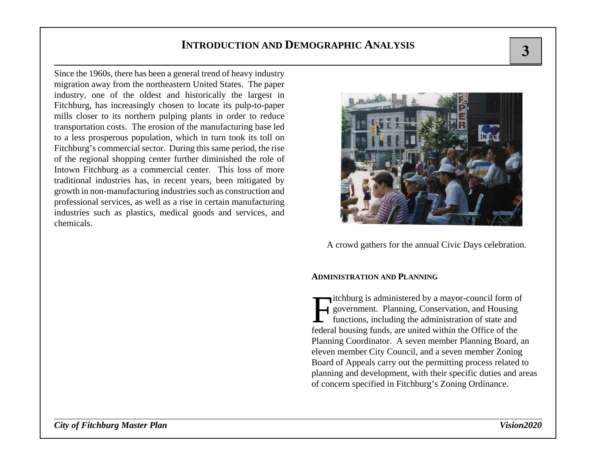Since the 1960s, there has been a general trend of heavy industry migration away from the northeastern United States. The paper industry, one of the oldest and historically the largest in Fitchburg, has increasingly chosen to locate its pulp-to-paper mills closer to its northern pulping plants in order to reduce transportation costs. The erosion of the manufacturing base led to a less prosperous population, which in turn took its toll on Fitchburg's commercial sector. During this same period, the rise of the regional shopping center further diminished the role of Intown Fitchburg as a commercial center. This loss of more traditional industries has, in recent years, been mitigated by growth in non-manufacturing industries such as construction and professional services, as well as a rise in certain manufacturing industries such as plastics, medical goods and services, and chemicals.



A crowd gathers for the annual Civic Days celebration.

#### **ADMINISTRATION AND PLANNING**

Fitchburg is administered by a mayor-council form of government. Planning, Conservation, and Housing functions, including the administration of state and federal housing funds, are united within the Office of the Planning Coordinator. A seven member Planning Board, an eleven member City Council, and a seven member Zoning Board of Appeals carry out the permitting process related to planning and development, with their specific duties and areas of concern specified in Fitchburg's Zoning Ordinance.

**3**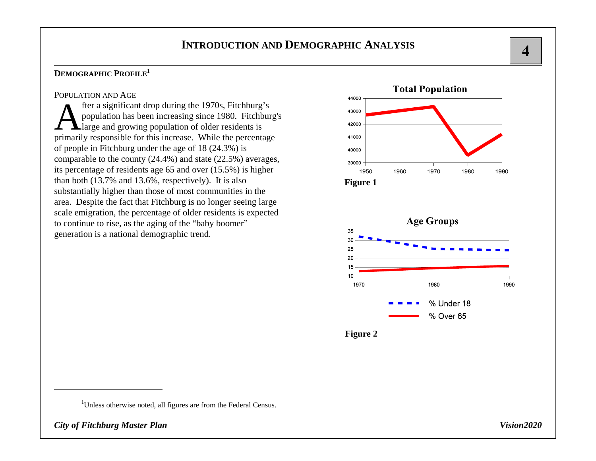### **DEMOGRAPHIC PROFILE<sup>1</sup>**

### POPULATION AND AGE

fter a significant drop during the 1970s, Fitchburg's population has been increasing since 1980. Fitchburg's large and growing population of older residents is primarily responsible for this increase. While the percentage of people in Fitchburg under the age of 18 (24.3%) is comparable to the county (24.4%) and state (22.5%) averages, its percentage of residents age 65 and over (15.5%) is higher than both (13.7% and 13.6%, respectively). It is also substantially higher than those of most communities in the area. Despite the fact that Fitchburg is no longer seeing large scale emigration, the percentage of older residents is expected to continue to rise, as the aging of the "baby boomer" generation is a national demographic trend.

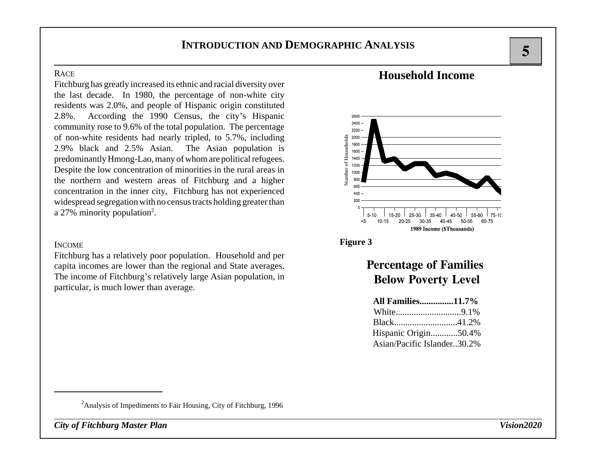### **RACE**

Fitchburg has greatly increased its ethnic and racial diversity over the last decade. In 1980, the percentage of non-white city residents was 2.0%, and people of Hispanic origin constituted 2.8%. According the 1990 Census, the city's Hispanic community rose to 9.6% of the total population. The percentage of non-white residents had nearly tripled, to 5.7%, including 2.9% black and 2.5% Asian. The Asian population is predominantly Hmong-Lao, many of whom are political refugees. Despite the low concentration of minorities in the rural areas in the northern and western areas of Fitchburg and a higher concentration in the inner city, Fitchburg has not experienced widespread segregation with no census tracts holding greater than a 27% minority population<sup>2</sup>.

### INCOME

Fitchburg has a relatively poor population. Household and per capita incomes are lower than the regional and State averages. The income of Fitchburg's relatively large Asian population, in particular, is much lower than average.

## **Household Income**



### **Figure 3**

# **Percentage of Families Below Poverty Level**

| <b>All Families11.7%</b>    |  |
|-----------------------------|--|
|                             |  |
|                             |  |
| Hispanic Origin50.4%        |  |
| Asian/Pacific Islander30.2% |  |

<sup>2</sup>Analysis of Impediments to Fair Housing, City of Fitchburg, 1996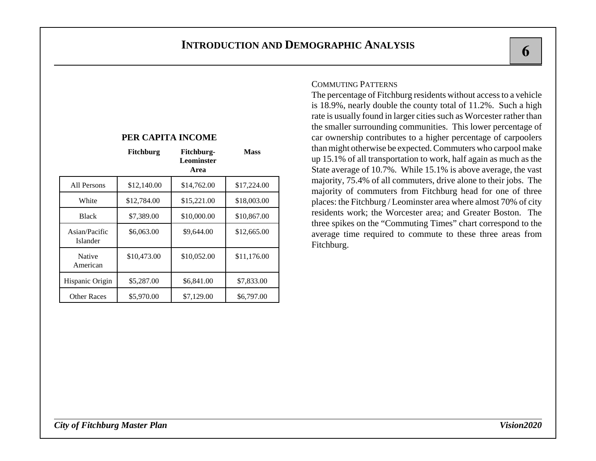|                           | Fitchburg   | Fitchburg-<br>Leominster<br>Area | <b>Mass</b> |
|---------------------------|-------------|----------------------------------|-------------|
| All Persons               | \$12,140.00 | \$14,762.00                      | \$17,224.00 |
| White                     | \$12,784.00 | \$15,221.00                      | \$18,003.00 |
| <b>Black</b>              | \$7,389.00  | \$10,000.00                      | \$10,867.00 |
| Asian/Pacific<br>Islander | \$6,063.00  | \$9,644.00                       | \$12,665.00 |
| Native<br>American        | \$10,473.00 | \$10,052.00                      | \$11,176.00 |
| Hispanic Origin           | \$5,287.00  | \$6,841.00                       | \$7,833.00  |
| <b>Other Races</b>        | \$5,970.00  | \$7,129.00                       | \$6,797.00  |

**PER CAPITA INCOME**

### COMMUTING PATTERNS

The percentage of Fitchburg residents without access to a vehicle is 18.9%, nearly double the county total of 11.2%. Such a high rate is usually found in larger cities such as Worcester rather than the smaller surrounding communities. This lower percentage of car ownership contributes to a higher percentage of carpoolers than might otherwise be expected. Commuters who carpool make up 15.1% of all transportation to work, half again as much as the State average of 10.7%. While 15.1% is above average, the vast majority, 75.4% of all commuters, drive alone to their jobs. The majority of commuters from Fitchburg head for one of three places: the Fitchburg / Leominster area where almost 70% of city residents work; the Worcester area; and Greater Boston. The three spikes on the "Commuting Times" chart correspond to the average time required to commute to these three areas from Fitchburg.

 $\overline{\phantom{a}}$  6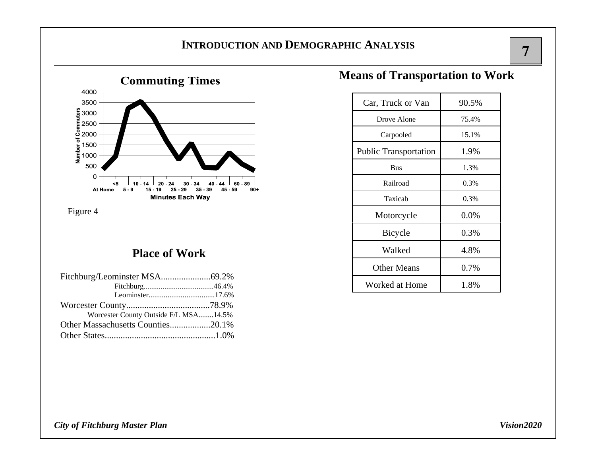

Figure 4

## **Place of Work**

| Fitchburg/Leominster MSA69.2%         |  |
|---------------------------------------|--|
|                                       |  |
|                                       |  |
|                                       |  |
| Worcester County Outside F/L MSA14.5% |  |
| Other Massachusetts Counties20.1%     |  |
|                                       |  |

# **Means of Transportation to Work**

| Car, Truck or Van            | 90.5% |  |
|------------------------------|-------|--|
| Drove Alone                  | 75.4% |  |
| Carpooled                    | 15.1% |  |
| <b>Public Transportation</b> | 1.9%  |  |
| <b>Bus</b>                   | 1.3%  |  |
| Railroad                     | 0.3%  |  |
| Taxicah                      | 0.3%  |  |
| Motorcycle                   | 0.0%  |  |
| Bicycle                      | 0.3%  |  |
| Walked                       | 4.8%  |  |
| <b>Other Means</b>           | 0.7%  |  |
| Worked at Home               | 1.8%  |  |

 $\overline{7}$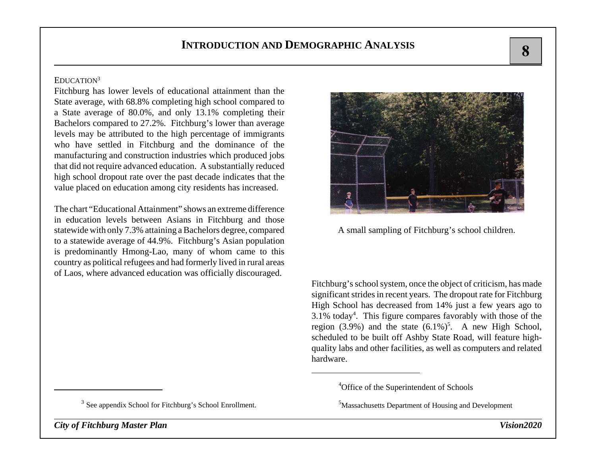### EDUCATION<sup>3</sup>

Fitchburg has lower levels of educational attainment than the State average, with 68.8% completing high school compared to a State average of 80.0%, and only 13.1% completing their Bachelors compared to 27.2%. Fitchburg's lower than average levels may be attributed to the high percentage of immigrants who have settled in Fitchburg and the dominance of the manufacturing and construction industries which produced jobs that did not require advanced education. A substantially reduced high school dropout rate over the past decade indicates that the value placed on education among city residents has increased.

The chart "Educational Attainment" shows an extreme differencein education levels between Asians in Fitchburg and those statewide with only 7.3% attaining a Bachelors degree, compared to a statewide average of 44.9%. Fitchburg's Asian population is predominantly Hmong-Lao, many of whom came to this country as political refugees and had formerly lived in rural areas of Laos, where advanced education was officially discouraged.

 $3$  See appendix School for Fitchburg's School Enrollment.

*City of Fitchburg Master Plan Vision2020*



A small sampling of Fitchburg's school children.

Fitchburg's school system, once the object of criticism, has made significant strides in recent years. The dropout rate for Fitchburg High School has decreased from 14% just a few years ago to 3.1% today4. This figure compares favorably with those of the region (3.9%) and the state  $(6.1\%)^5$ . A new High School, scheduled to be built off Ashby State Road, will feature highquality labs and other facilities, as well as computers and related hardware.

<sup>4</sup>Office of the Superintendent of Schools

<sup>5</sup>Massachusetts Department of Housing and Development